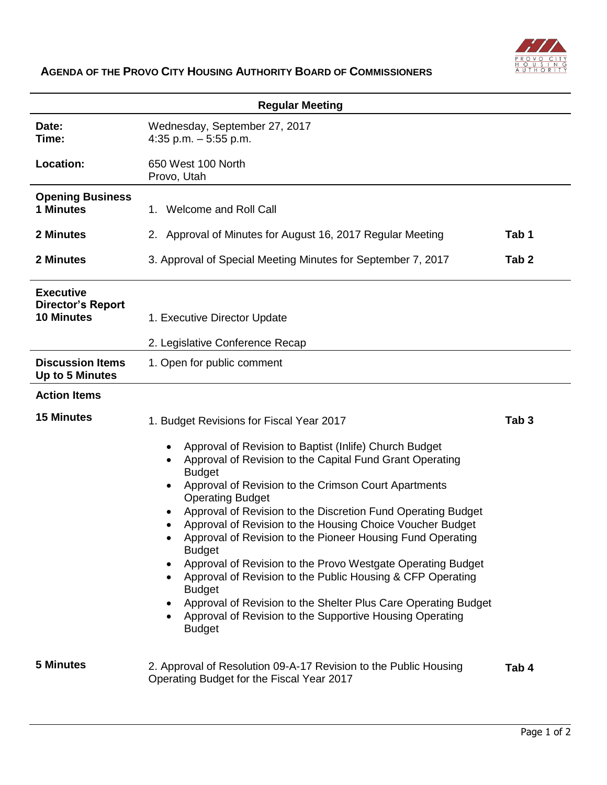

## **AGENDA OF THE PROVO CITY HOUSING AUTHORITY BOARD OF COMMISSIONERS**

| <b>Regular Meeting</b>                                            |                                                                                                                                                                                                                                                                                                                                                                                                                                                                                                                                                                                                                                                                                                                                              |                  |  |
|-------------------------------------------------------------------|----------------------------------------------------------------------------------------------------------------------------------------------------------------------------------------------------------------------------------------------------------------------------------------------------------------------------------------------------------------------------------------------------------------------------------------------------------------------------------------------------------------------------------------------------------------------------------------------------------------------------------------------------------------------------------------------------------------------------------------------|------------------|--|
| Date:<br>Time:                                                    | Wednesday, September 27, 2017<br>4:35 p.m. $-5:55$ p.m.                                                                                                                                                                                                                                                                                                                                                                                                                                                                                                                                                                                                                                                                                      |                  |  |
| Location:                                                         | 650 West 100 North<br>Provo, Utah                                                                                                                                                                                                                                                                                                                                                                                                                                                                                                                                                                                                                                                                                                            |                  |  |
| <b>Opening Business</b><br><b>1 Minutes</b>                       | 1. Welcome and Roll Call                                                                                                                                                                                                                                                                                                                                                                                                                                                                                                                                                                                                                                                                                                                     |                  |  |
| 2 Minutes                                                         | 2. Approval of Minutes for August 16, 2017 Regular Meeting                                                                                                                                                                                                                                                                                                                                                                                                                                                                                                                                                                                                                                                                                   | Tab 1            |  |
| 2 Minutes                                                         | 3. Approval of Special Meeting Minutes for September 7, 2017                                                                                                                                                                                                                                                                                                                                                                                                                                                                                                                                                                                                                                                                                 | Tab <sub>2</sub> |  |
| <b>Executive</b><br><b>Director's Report</b><br><b>10 Minutes</b> | 1. Executive Director Update<br>2. Legislative Conference Recap                                                                                                                                                                                                                                                                                                                                                                                                                                                                                                                                                                                                                                                                              |                  |  |
| <b>Discussion Items</b><br>Up to 5 Minutes                        | 1. Open for public comment                                                                                                                                                                                                                                                                                                                                                                                                                                                                                                                                                                                                                                                                                                                   |                  |  |
| <b>Action Items</b>                                               |                                                                                                                                                                                                                                                                                                                                                                                                                                                                                                                                                                                                                                                                                                                                              |                  |  |
| <b>15 Minutes</b>                                                 | 1. Budget Revisions for Fiscal Year 2017                                                                                                                                                                                                                                                                                                                                                                                                                                                                                                                                                                                                                                                                                                     | Tab <sub>3</sub> |  |
|                                                                   | Approval of Revision to Baptist (Inlife) Church Budget<br>Approval of Revision to the Capital Fund Grant Operating<br><b>Budget</b><br>Approval of Revision to the Crimson Court Apartments<br><b>Operating Budget</b><br>Approval of Revision to the Discretion Fund Operating Budget<br>Approval of Revision to the Housing Choice Voucher Budget<br>Approval of Revision to the Pioneer Housing Fund Operating<br><b>Budget</b><br>Approval of Revision to the Provo Westgate Operating Budget<br>Approval of Revision to the Public Housing & CFP Operating<br>$\bullet$<br><b>Budget</b><br>Approval of Revision to the Shelter Plus Care Operating Budget<br>Approval of Revision to the Supportive Housing Operating<br><b>Budget</b> |                  |  |
| <b>5 Minutes</b>                                                  | 2. Approval of Resolution 09-A-17 Revision to the Public Housing<br>Operating Budget for the Fiscal Year 2017                                                                                                                                                                                                                                                                                                                                                                                                                                                                                                                                                                                                                                | Tab 4            |  |